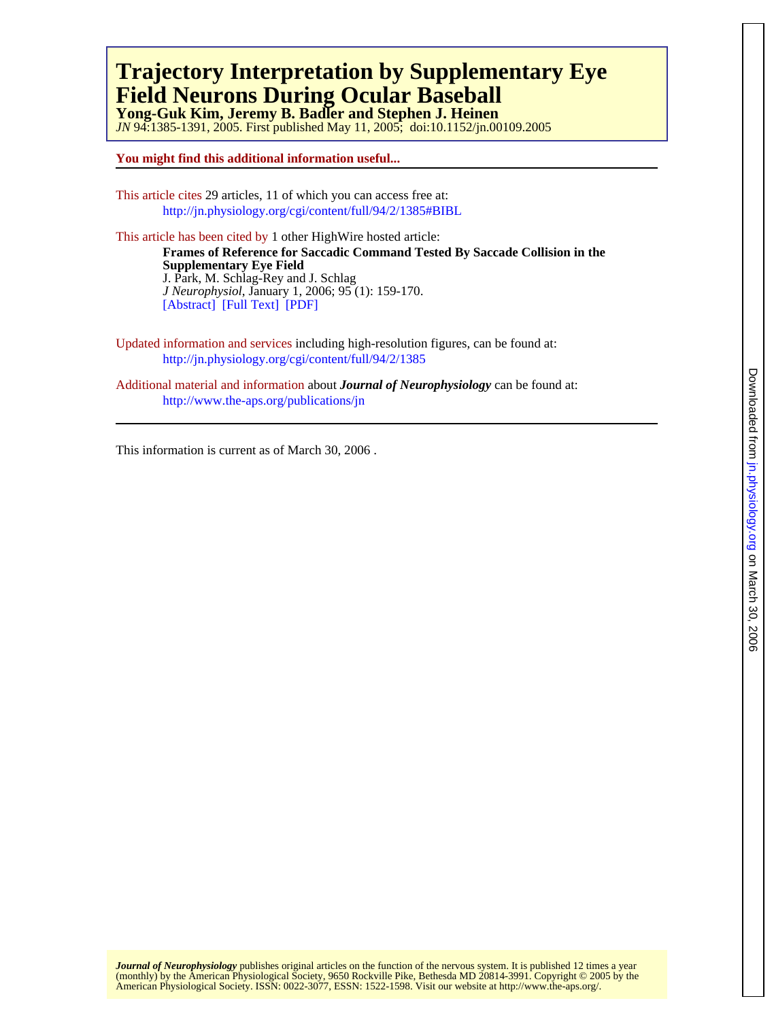## **Yong-Guk Kim, Jeremy B. Badler and Stephen J. Heinen Field Neurons During Ocular Baseball Trajectory Interpretation by Supplementary Eye**

*JN* 94:1385-1391, 2005. First published May 11, 2005; doi:10.1152/jn.00109.2005

## **You might find this additional information useful...**

This article cites 29 articles, 11 of which you can access free at: <http://jn.physiology.org/cgi/content/full/94/2/1385#BIBL>

This article has been cited by 1 other HighWire hosted article: [\[Abstract\]](http://jn.physiology.org/cgi/content/abstract/95/1/159) [\[Full Text\]](http://jn.physiology.org/cgi/content/full/95/1/159) [\[PDF\]](http://jn.physiology.org/cgi/reprint/95/1/159) *J Neurophysiol*, January 1, 2006; 95 (1): 159-170. J. Park, M. Schlag-Rey and J. Schlag **Supplementary Eye Field Frames of Reference for Saccadic Command Tested By Saccade Collision in the**

Updated information and services including high-resolution figures, can be found at: <http://jn.physiology.org/cgi/content/full/94/2/1385>

Additional material and information about *Journal of Neurophysiology* can be found at: <http://www.the-aps.org/publications/jn>

This information is current as of March 30, 2006 .

(monthly) by the American Physiological Society, 9650 Rockville Pike, Bethesda MD 20814-3991. Copyright © 2005 by the<br>American Physiological Society. ISSN: 0022-3077, ESSN: 1522-1598. Visit our website at http://www.the-ap *Journal of Neurophysiology* publishes original articles on the function of the nervous system. It is published 12 times a year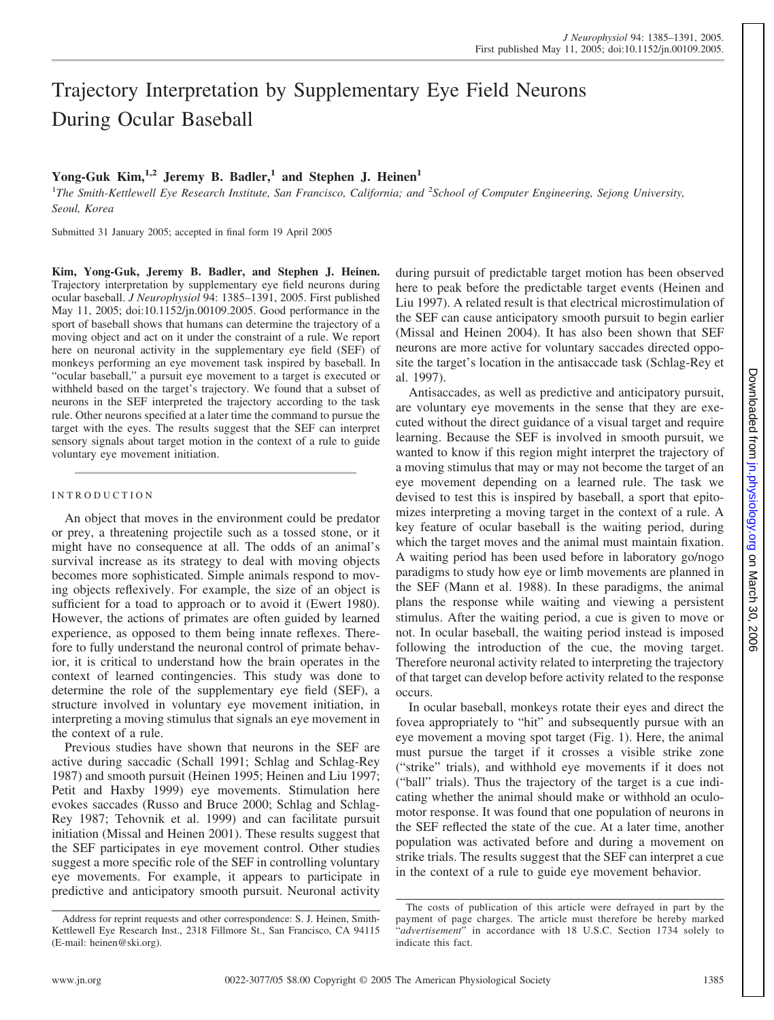# Trajectory Interpretation by Supplementary Eye Field Neurons During Ocular Baseball

### **Yong-Guk Kim,1,2 Jeremy B. Badler,<sup>1</sup> and Stephen J. Heinen<sup>1</sup>**

<sup>1</sup>The Smith-Kettlewell Eye Research Institute, San Francisco, California; and <sup>2</sup>School of Computer Engineering, Sejong University, *Seoul, Korea*

Submitted 31 January 2005; accepted in final form 19 April 2005

**Kim, Yong-Guk, Jeremy B. Badler, and Stephen J. Heinen.** Trajectory interpretation by supplementary eye field neurons during ocular baseball. *J Neurophysiol* 94: 1385–1391, 2005. First published May 11, 2005; doi:10.1152/jn.00109.2005. Good performance in the sport of baseball shows that humans can determine the trajectory of a moving object and act on it under the constraint of a rule. We report here on neuronal activity in the supplementary eye field (SEF) of monkeys performing an eye movement task inspired by baseball. In "ocular baseball," a pursuit eye movement to a target is executed or withheld based on the target's trajectory. We found that a subset of neurons in the SEF interpreted the trajectory according to the task rule. Other neurons specified at a later time the command to pursue the target with the eyes. The results suggest that the SEF can interpret sensory signals about target motion in the context of a rule to guide voluntary eye movement initiation.

#### INTRODUCTION

An object that moves in the environment could be predator or prey, a threatening projectile such as a tossed stone, or it might have no consequence at all. The odds of an animal's survival increase as its strategy to deal with moving objects becomes more sophisticated. Simple animals respond to moving objects reflexively. For example, the size of an object is sufficient for a toad to approach or to avoid it (Ewert 1980). However, the actions of primates are often guided by learned experience, as opposed to them being innate reflexes. Therefore to fully understand the neuronal control of primate behavior, it is critical to understand how the brain operates in the context of learned contingencies. This study was done to determine the role of the supplementary eye field (SEF), a structure involved in voluntary eye movement initiation, in interpreting a moving stimulus that signals an eye movement in the context of a rule.

Previous studies have shown that neurons in the SEF are active during saccadic (Schall 1991; Schlag and Schlag-Rey 1987) and smooth pursuit (Heinen 1995; Heinen and Liu 1997; Petit and Haxby 1999) eye movements. Stimulation here evokes saccades (Russo and Bruce 2000; Schlag and Schlag-Rey 1987; Tehovnik et al. 1999) and can facilitate pursuit initiation (Missal and Heinen 2001). These results suggest that the SEF participates in eye movement control. Other studies suggest a more specific role of the SEF in controlling voluntary eye movements. For example, it appears to participate in predictive and anticipatory smooth pursuit. Neuronal activity

during pursuit of predictable target motion has been observed here to peak before the predictable target events (Heinen and Liu 1997). A related result is that electrical microstimulation of the SEF can cause anticipatory smooth pursuit to begin earlier (Missal and Heinen 2004). It has also been shown that SEF neurons are more active for voluntary saccades directed opposite the target's location in the antisaccade task (Schlag-Rey et al. 1997).

Antisaccades, as well as predictive and anticipatory pursuit, are voluntary eye movements in the sense that they are executed without the direct guidance of a visual target and require learning. Because the SEF is involved in smooth pursuit, we wanted to know if this region might interpret the trajectory of a moving stimulus that may or may not become the target of an eye movement depending on a learned rule. The task we devised to test this is inspired by baseball, a sport that epitomizes interpreting a moving target in the context of a rule. A key feature of ocular baseball is the waiting period, during which the target moves and the animal must maintain fixation. A waiting period has been used before in laboratory go/nogo paradigms to study how eye or limb movements are planned in the SEF (Mann et al. 1988). In these paradigms, the animal plans the response while waiting and viewing a persistent stimulus. After the waiting period, a cue is given to move or not. In ocular baseball, the waiting period instead is imposed following the introduction of the cue, the moving target. Therefore neuronal activity related to interpreting the trajectory of that target can develop before activity related to the response occurs.

In ocular baseball, monkeys rotate their eyes and direct the fovea appropriately to "hit" and subsequently pursue with an eye movement a moving spot target (Fig. 1). Here, the animal must pursue the target if it crosses a visible strike zone ("strike" trials), and withhold eye movements if it does not ("ball" trials). Thus the trajectory of the target is a cue indicating whether the animal should make or withhold an oculomotor response. It was found that one population of neurons in the SEF reflected the state of the cue. At a later time, another population was activated before and during a movement on strike trials. The results suggest that the SEF can interpret a cue in the context of a rule to guide eye movement behavior.

Address for reprint requests and other correspondence: S. J. Heinen, Smith-Kettlewell Eye Research Inst., 2318 Fillmore St., San Francisco, CA 94115 (E-mail: heinen@ski.org).

The costs of publication of this article were defrayed in part by the payment of page charges. The article must therefore be hereby marked "*advertisement*" in accordance with 18 U.S.C. Section 1734 solely to indicate this fact.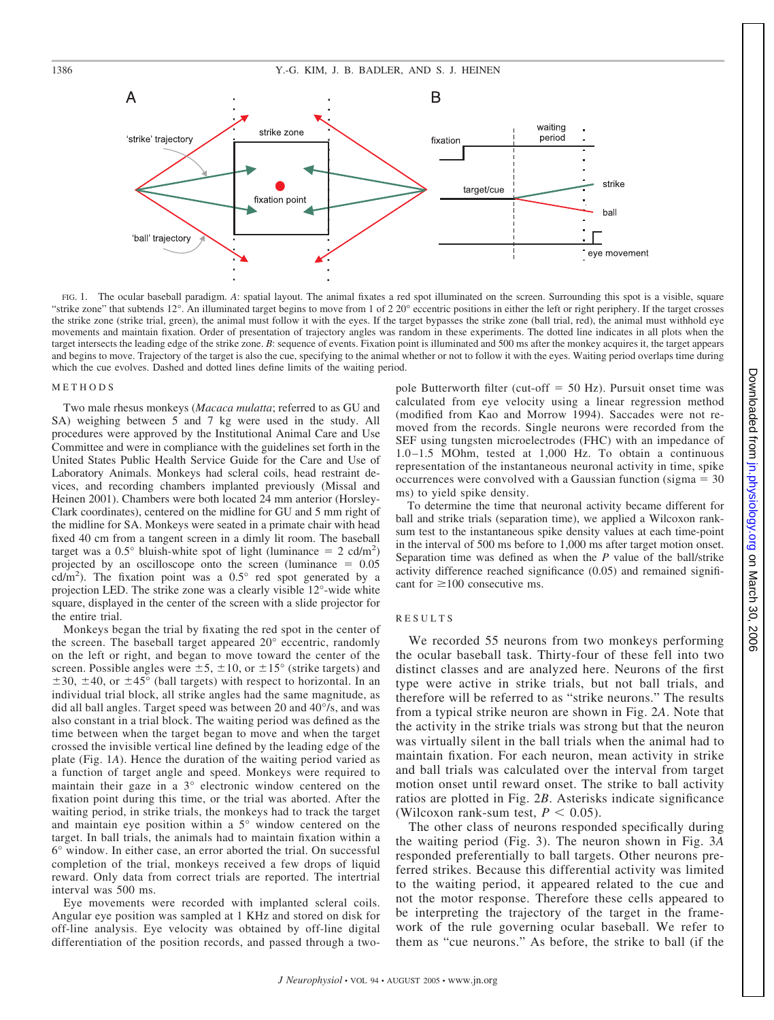

FIG. 1. The ocular baseball paradigm. *A*: spatial layout. The animal fixates a red spot illuminated on the screen. Surrounding this spot is a visible, square "strike zone" that subtends 12°. An illuminated target begins to move from 1 of 2 20° eccentric positions in either the left or right periphery. If the target crosses the strike zone (strike trial, green), the animal must follow it with the eyes. If the target bypasses the strike zone (ball trial, red), the animal must withhold eye movements and maintain fixation. Order of presentation of trajectory angles was random in these experiments. The dotted line indicates in all plots when the target intersects the leading edge of the strike zone. *B*: sequence of events. Fixation point is illuminated and 500 ms after the monkey acquires it, the target appears and begins to move. Trajectory of the target is also the cue, specifying to the animal whether or not to follow it with the eyes. Waiting period overlaps time during which the cue evolves. Dashed and dotted lines define limits of the waiting period.

#### METHODS

Two male rhesus monkeys (*Macaca mulatta*; referred to as GU and SA) weighing between 5 and 7 kg were used in the study. All procedures were approved by the Institutional Animal Care and Use Committee and were in compliance with the guidelines set forth in the United States Public Health Service Guide for the Care and Use of Laboratory Animals. Monkeys had scleral coils, head restraint devices, and recording chambers implanted previously (Missal and Heinen 2001). Chambers were both located 24 mm anterior (Horsley-Clark coordinates), centered on the midline for GU and 5 mm right of the midline for SA. Monkeys were seated in a primate chair with head fixed 40 cm from a tangent screen in a dimly lit room. The baseball target was a 0.5° bluish-white spot of light (luminance = 2 cd/m<sup>2</sup>) projected by an oscilloscope onto the screen (luminance  $= 0.05$ )  $\text{cd/m}^2$ ). The fixation point was a 0.5° red spot generated by a projection LED. The strike zone was a clearly visible 12°-wide white square, displayed in the center of the screen with a slide projector for the entire trial.

Monkeys began the trial by fixating the red spot in the center of the screen. The baseball target appeared 20° eccentric, randomly on the left or right, and began to move toward the center of the screen. Possible angles were  $\pm 5$ ,  $\pm 10$ , or  $\pm 15^{\circ}$  (strike targets) and  $\pm 30$ ,  $\pm 40$ , or  $\pm 45^{\circ}$  (ball targets) with respect to horizontal. In an individual trial block, all strike angles had the same magnitude, as did all ball angles. Target speed was between 20 and 40°/s, and was also constant in a trial block. The waiting period was defined as the time between when the target began to move and when the target crossed the invisible vertical line defined by the leading edge of the plate (Fig. 1*A*). Hence the duration of the waiting period varied as a function of target angle and speed. Monkeys were required to maintain their gaze in a 3° electronic window centered on the fixation point during this time, or the trial was aborted. After the waiting period, in strike trials, the monkeys had to track the target and maintain eye position within a 5° window centered on the target. In ball trials, the animals had to maintain fixation within a 6° window. In either case, an error aborted the trial. On successful completion of the trial, monkeys received a few drops of liquid reward. Only data from correct trials are reported. The intertrial interval was 500 ms.

Eye movements were recorded with implanted scleral coils. Angular eye position was sampled at 1 KHz and stored on disk for off-line analysis. Eye velocity was obtained by off-line digital differentiation of the position records, and passed through a twopole Butterworth filter (cut-off  $= 50$  Hz). Pursuit onset time was calculated from eye velocity using a linear regression method (modified from Kao and Morrow 1994). Saccades were not removed from the records. Single neurons were recorded from the SEF using tungsten microelectrodes (FHC) with an impedance of 1.0 –1.5 MOhm, tested at 1,000 Hz. To obtain a continuous representation of the instantaneous neuronal activity in time, spike occurrences were convolved with a Gaussian function (sigma  $= 30$ ) ms) to yield spike density.

To determine the time that neuronal activity became different for ball and strike trials (separation time), we applied a Wilcoxon ranksum test to the instantaneous spike density values at each time-point in the interval of 500 ms before to 1,000 ms after target motion onset. Separation time was defined as when the *P* value of the ball/strike activity difference reached significance (0.05) and remained significant for  $\geq 100$  consecutive ms.

#### RESULTS

We recorded 55 neurons from two monkeys performing the ocular baseball task. Thirty-four of these fell into two distinct classes and are analyzed here. Neurons of the first type were active in strike trials, but not ball trials, and therefore will be referred to as "strike neurons." The results from a typical strike neuron are shown in Fig. 2*A*. Note that the activity in the strike trials was strong but that the neuron was virtually silent in the ball trials when the animal had to maintain fixation. For each neuron, mean activity in strike and ball trials was calculated over the interval from target motion onset until reward onset. The strike to ball activity ratios are plotted in Fig. 2*B*. Asterisks indicate significance (Wilcoxon rank-sum test,  $P < 0.05$ ).

The other class of neurons responded specifically during the waiting period (Fig. 3). The neuron shown in Fig. 3*A* responded preferentially to ball targets. Other neurons preferred strikes. Because this differential activity was limited to the waiting period, it appeared related to the cue and not the motor response. Therefore these cells appeared to be interpreting the trajectory of the target in the framework of the rule governing ocular baseball. We refer to them as "cue neurons." As before, the strike to ball (if the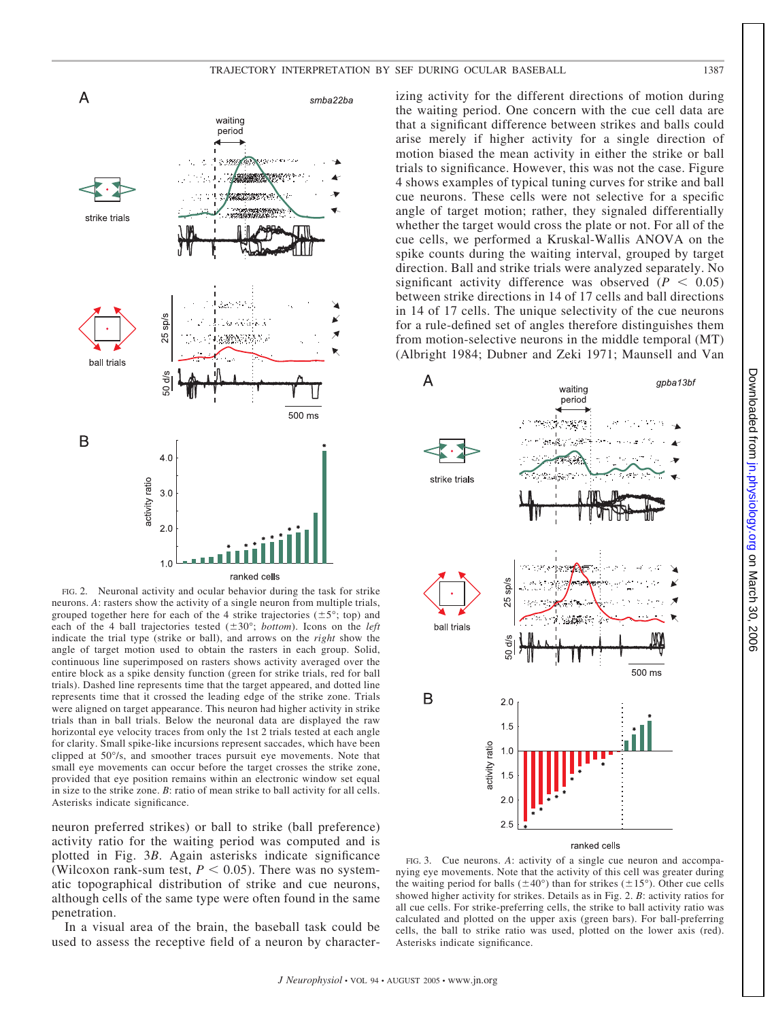

FIG. 2. Neuronal activity and ocular behavior during the task for strike neurons. *A*: rasters show the activity of a single neuron from multiple trials, grouped together here for each of the 4 strike trajectories  $(\pm 5^{\circ};$  top) and each of the 4 ball trajectories tested  $(\pm 30^{\circ}; bottom)$ . Icons on the *left* indicate the trial type (strike or ball), and arrows on the *right* show the angle of target motion used to obtain the rasters in each group. Solid, continuous line superimposed on rasters shows activity averaged over the entire block as a spike density function (green for strike trials, red for ball trials). Dashed line represents time that the target appeared, and dotted line represents time that it crossed the leading edge of the strike zone. Trials were aligned on target appearance. This neuron had higher activity in strike trials than in ball trials. Below the neuronal data are displayed the raw horizontal eye velocity traces from only the 1st 2 trials tested at each angle for clarity. Small spike-like incursions represent saccades, which have been clipped at 50°/s, and smoother traces pursuit eye movements. Note that small eye movements can occur before the target crosses the strike zone, provided that eye position remains within an electronic window set equal in size to the strike zone. *B*: ratio of mean strike to ball activity for all cells. Asterisks indicate significance.

neuron preferred strikes) or ball to strike (ball preference) activity ratio for the waiting period was computed and is plotted in Fig. 3*B*. Again asterisks indicate significance (Wilcoxon rank-sum test,  $P < 0.05$ ). There was no systematic topographical distribution of strike and cue neurons, although cells of the same type were often found in the same penetration.

In a visual area of the brain, the baseball task could be used to assess the receptive field of a neuron by characterizing activity for the different directions of motion during the waiting period. One concern with the cue cell data are that a significant difference between strikes and balls could arise merely if higher activity for a single direction of motion biased the mean activity in either the strike or ball trials to significance. However, this was not the case. Figure 4 shows examples of typical tuning curves for strike and ball cue neurons. These cells were not selective for a specific angle of target motion; rather, they signaled differentially whether the target would cross the plate or not. For all of the cue cells, we performed a Kruskal-Wallis ANOVA on the spike counts during the waiting interval, grouped by target direction. Ball and strike trials were analyzed separately. No significant activity difference was observed  $(P < 0.05)$ between strike directions in 14 of 17 cells and ball directions in 14 of 17 cells. The unique selectivity of the cue neurons for a rule-defined set of angles therefore distinguishes them from motion-selective neurons in the middle temporal (MT) (Albright 1984; Dubner and Zeki 1971; Maunsell and Van



FIG. 3. Cue neurons. *A*: activity of a single cue neuron and accompanying eye movements. Note that the activity of this cell was greater during the waiting period for balls ( $\pm 40^{\circ}$ ) than for strikes ( $\pm 15^{\circ}$ ). Other cue cells showed higher activity for strikes. Details as in Fig. 2. *B*: activity ratios for all cue cells. For strike-preferring cells, the strike to ball activity ratio was calculated and plotted on the upper axis (green bars). For ball-preferring cells, the ball to strike ratio was used, plotted on the lower axis (red). Asterisks indicate significance.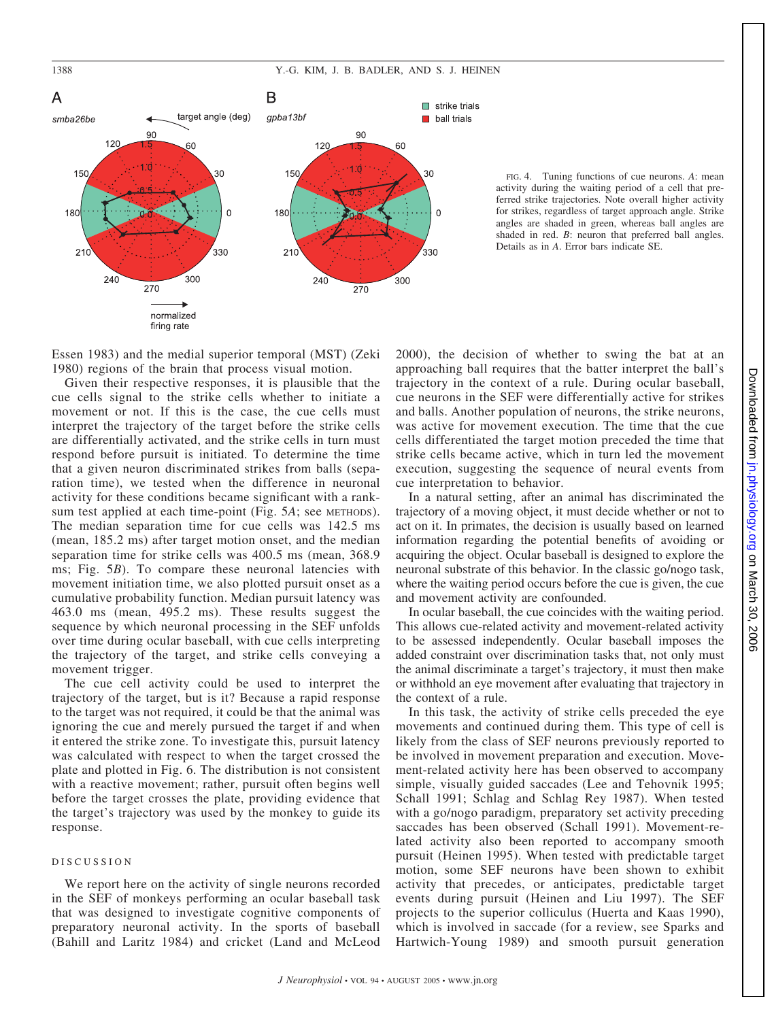

FIG. 4. Tuning functions of cue neurons. *A*: mean activity during the waiting period of a cell that preferred strike trajectories. Note overall higher activity for strikes, regardless of target approach angle. Strike angles are shaded in green, whereas ball angles are shaded in red. *B*: neuron that preferred ball angles. Details as in *A*. Error bars indicate SE.

Essen 1983) and the medial superior temporal (MST) (Zeki 1980) regions of the brain that process visual motion.

Given their respective responses, it is plausible that the cue cells signal to the strike cells whether to initiate a movement or not. If this is the case, the cue cells must interpret the trajectory of the target before the strike cells are differentially activated, and the strike cells in turn must respond before pursuit is initiated. To determine the time that a given neuron discriminated strikes from balls (separation time), we tested when the difference in neuronal activity for these conditions became significant with a ranksum test applied at each time-point (Fig. 5*A*; see METHODS). The median separation time for cue cells was 142.5 ms (mean, 185.2 ms) after target motion onset, and the median separation time for strike cells was 400.5 ms (mean, 368.9 ms; Fig. 5*B*). To compare these neuronal latencies with movement initiation time, we also plotted pursuit onset as a cumulative probability function. Median pursuit latency was 463.0 ms (mean, 495.2 ms). These results suggest the sequence by which neuronal processing in the SEF unfolds over time during ocular baseball, with cue cells interpreting the trajectory of the target, and strike cells conveying a movement trigger.

The cue cell activity could be used to interpret the trajectory of the target, but is it? Because a rapid response to the target was not required, it could be that the animal was ignoring the cue and merely pursued the target if and when it entered the strike zone. To investigate this, pursuit latency was calculated with respect to when the target crossed the plate and plotted in Fig. 6. The distribution is not consistent with a reactive movement; rather, pursuit often begins well before the target crosses the plate, providing evidence that the target's trajectory was used by the monkey to guide its response.

#### DISCUSSION

We report here on the activity of single neurons recorded in the SEF of monkeys performing an ocular baseball task that was designed to investigate cognitive components of preparatory neuronal activity. In the sports of baseball (Bahill and Laritz 1984) and cricket (Land and McLeod

2000), the decision of whether to swing the bat at an approaching ball requires that the batter interpret the ball's trajectory in the context of a rule. During ocular baseball, cue neurons in the SEF were differentially active for strikes and balls. Another population of neurons, the strike neurons, was active for movement execution. The time that the cue cells differentiated the target motion preceded the time that strike cells became active, which in turn led the movement execution, suggesting the sequence of neural events from cue interpretation to behavior.

In a natural setting, after an animal has discriminated the trajectory of a moving object, it must decide whether or not to act on it. In primates, the decision is usually based on learned information regarding the potential benefits of avoiding or acquiring the object. Ocular baseball is designed to explore the neuronal substrate of this behavior. In the classic go/nogo task, where the waiting period occurs before the cue is given, the cue and movement activity are confounded.

In ocular baseball, the cue coincides with the waiting period. This allows cue-related activity and movement-related activity to be assessed independently. Ocular baseball imposes the added constraint over discrimination tasks that, not only must the animal discriminate a target's trajectory, it must then make or withhold an eye movement after evaluating that trajectory in the context of a rule.

In this task, the activity of strike cells preceded the eye movements and continued during them. This type of cell is likely from the class of SEF neurons previously reported to be involved in movement preparation and execution. Movement-related activity here has been observed to accompany simple, visually guided saccades (Lee and Tehovnik 1995; Schall 1991; Schlag and Schlag Rey 1987). When tested with a go/nogo paradigm, preparatory set activity preceding saccades has been observed (Schall 1991). Movement-related activity also been reported to accompany smooth pursuit (Heinen 1995). When tested with predictable target motion, some SEF neurons have been shown to exhibit activity that precedes, or anticipates, predictable target events during pursuit (Heinen and Liu 1997). The SEF projects to the superior colliculus (Huerta and Kaas 1990), which is involved in saccade (for a review, see Sparks and Hartwich-Young 1989) and smooth pursuit generation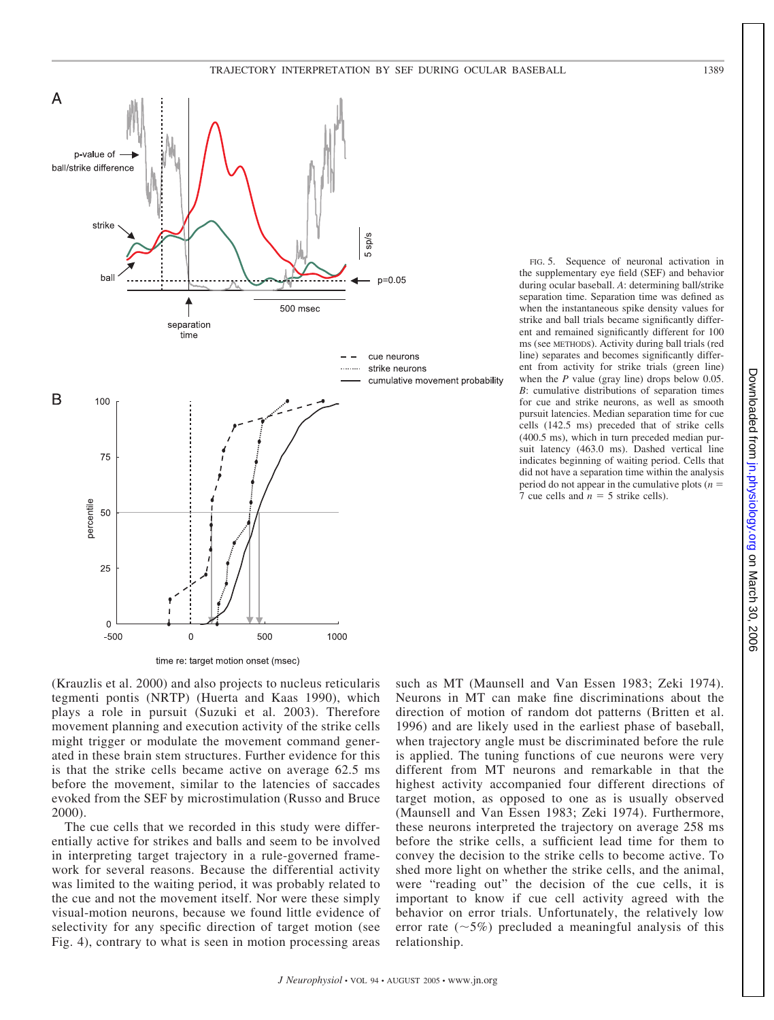

time re: target motion onset (msec)

(Krauzlis et al. 2000) and also projects to nucleus reticularis tegmenti pontis (NRTP) (Huerta and Kaas 1990), which plays a role in pursuit (Suzuki et al. 2003). Therefore movement planning and execution activity of the strike cells might trigger or modulate the movement command generated in these brain stem structures. Further evidence for this is that the strike cells became active on average 62.5 ms before the movement, similar to the latencies of saccades evoked from the SEF by microstimulation (Russo and Bruce 2000).

The cue cells that we recorded in this study were differentially active for strikes and balls and seem to be involved in interpreting target trajectory in a rule-governed framework for several reasons. Because the differential activity was limited to the waiting period, it was probably related to the cue and not the movement itself. Nor were these simply visual-motion neurons, because we found little evidence of selectivity for any specific direction of target motion (see Fig. 4), contrary to what is seen in motion processing areas

such as MT (Maunsell and Van Essen 1983; Zeki 1974). Neurons in MT can make fine discriminations about the direction of motion of random dot patterns (Britten et al. 1996) and are likely used in the earliest phase of baseball, when trajectory angle must be discriminated before the rule is applied. The tuning functions of cue neurons were very different from MT neurons and remarkable in that the highest activity accompanied four different directions of target motion, as opposed to one as is usually observed (Maunsell and Van Essen 1983; Zeki 1974). Furthermore, these neurons interpreted the trajectory on average 258 ms before the strike cells, a sufficient lead time for them to convey the decision to the strike cells to become active. To shed more light on whether the strike cells, and the animal, were "reading out" the decision of the cue cells, it is important to know if cue cell activity agreed with the behavior on error trials. Unfortunately, the relatively low error rate  $(0.5\%)$  precluded a meaningful analysis of this relationship.

FIG. 5. Sequence of neuronal activation in the supplementary eye field (SEF) and behavior during ocular baseball. *A*: determining ball/strike separation time. Separation time was defined as when the instantaneous spike density values for strike and ball trials became significantly different and remained significantly different for 100 ms (see METHODS). Activity during ball trials (red line) separates and becomes significantly different from activity for strike trials (green line) when the *P* value (gray line) drops below 0.05. *B*: cumulative distributions of separation times for cue and strike neurons, as well as smooth pursuit latencies. Median separation time for cue cells (142.5 ms) preceded that of strike cells (400.5 ms), which in turn preceded median pursuit latency (463.0 ms). Dashed vertical line indicates beginning of waiting period. Cells that did not have a separation time within the analysis period do not appear in the cumulative plots (*n* 7 cue cells and  $n = 5$  strike cells).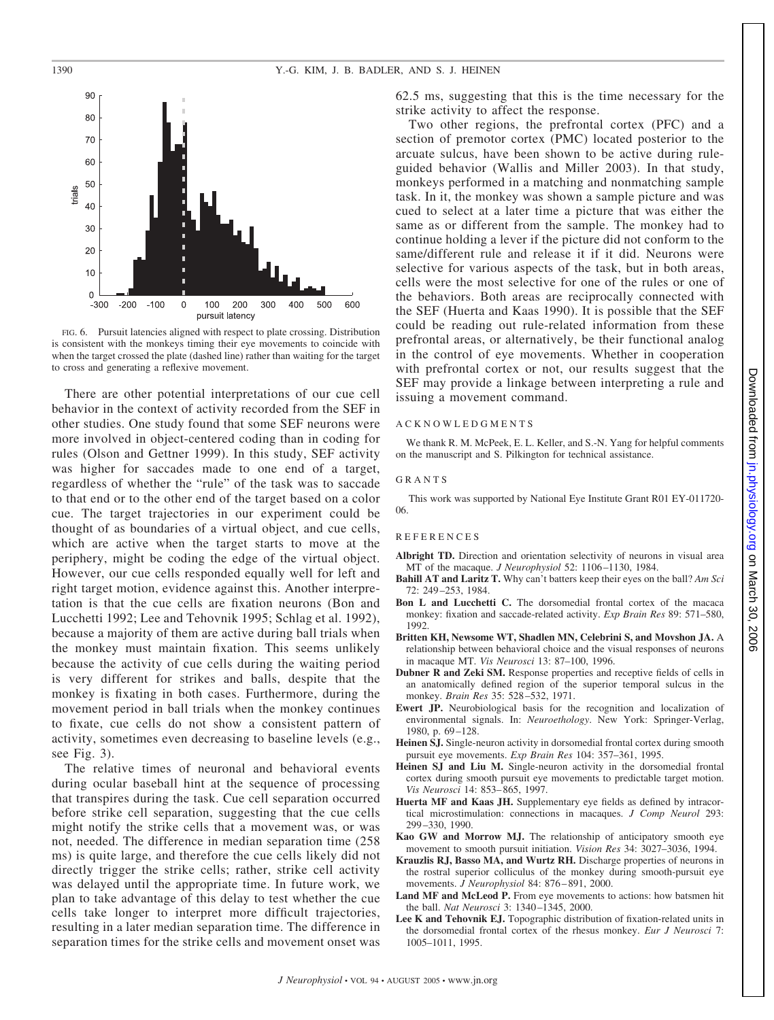



There are other potential interpretations of our cue cell behavior in the context of activity recorded from the SEF in other studies. One study found that some SEF neurons were more involved in object-centered coding than in coding for rules (Olson and Gettner 1999). In this study, SEF activity was higher for saccades made to one end of a target, regardless of whether the "rule" of the task was to saccade to that end or to the other end of the target based on a color cue. The target trajectories in our experiment could be thought of as boundaries of a virtual object, and cue cells, which are active when the target starts to move at the periphery, might be coding the edge of the virtual object. However, our cue cells responded equally well for left and right target motion, evidence against this. Another interpretation is that the cue cells are fixation neurons (Bon and Lucchetti 1992; Lee and Tehovnik 1995; Schlag et al. 1992), because a majority of them are active during ball trials when the monkey must maintain fixation. This seems unlikely because the activity of cue cells during the waiting period is very different for strikes and balls, despite that the monkey is fixating in both cases. Furthermore, during the movement period in ball trials when the monkey continues to fixate, cue cells do not show a consistent pattern of activity, sometimes even decreasing to baseline levels (e.g., see Fig. 3).

The relative times of neuronal and behavioral events during ocular baseball hint at the sequence of processing that transpires during the task. Cue cell separation occurred before strike cell separation, suggesting that the cue cells might notify the strike cells that a movement was, or was not, needed. The difference in median separation time (258 ms) is quite large, and therefore the cue cells likely did not directly trigger the strike cells; rather, strike cell activity was delayed until the appropriate time. In future work, we plan to take advantage of this delay to test whether the cue cells take longer to interpret more difficult trajectories, resulting in a later median separation time. The difference in separation times for the strike cells and movement onset was

62.5 ms, suggesting that this is the time necessary for the strike activity to affect the response.

Two other regions, the prefrontal cortex (PFC) and a section of premotor cortex (PMC) located posterior to the arcuate sulcus, have been shown to be active during ruleguided behavior (Wallis and Miller 2003). In that study, monkeys performed in a matching and nonmatching sample task. In it, the monkey was shown a sample picture and was cued to select at a later time a picture that was either the same as or different from the sample. The monkey had to continue holding a lever if the picture did not conform to the same/different rule and release it if it did. Neurons were selective for various aspects of the task, but in both areas, cells were the most selective for one of the rules or one of the behaviors. Both areas are reciprocally connected with the SEF (Huerta and Kaas 1990). It is possible that the SEF could be reading out rule-related information from these prefrontal areas, or alternatively, be their functional analog in the control of eye movements. Whether in cooperation with prefrontal cortex or not, our results suggest that the SEF may provide a linkage between interpreting a rule and issuing a movement command.

#### ACKNOWLEDGMENTS

We thank R. M. McPeek, E. L. Keller, and S.-N. Yang for helpful comments on the manuscript and S. Pilkington for technical assistance.

#### GRANTS

This work was supported by National Eye Institute Grant R01 EY-011720- 06.

#### REFERENCES

- **Albright TD.** Direction and orientation selectivity of neurons in visual area MT of the macaque. *J Neurophysiol* 52: 1106 –1130, 1984.
- **Bahill AT and Laritz T.** Why can't batters keep their eyes on the ball? *Am Sci* 72: 249 –253, 1984.
- **Bon L and Lucchetti C.** The dorsomedial frontal cortex of the macaca monkey: fixation and saccade-related activity. *Exp Brain Res* 89: 571–580, 1992.
- **Britten KH, Newsome WT, Shadlen MN, Celebrini S, and Movshon JA.** A relationship between behavioral choice and the visual responses of neurons in macaque MT. *Vis Neurosci* 13: 87–100, 1996.
- **Dubner R and Zeki SM.** Response properties and receptive fields of cells in an anatomically defined region of the superior temporal sulcus in the monkey. *Brain Res* 35: 528 –532, 1971.
- **Ewert JP.** Neurobiological basis for the recognition and localization of environmental signals. In: *Neuroethology*. New York: Springer-Verlag, 1980, p. 69-128.
- **Heinen SJ.** Single-neuron activity in dorsomedial frontal cortex during smooth pursuit eye movements. *Exp Brain Res* 104: 357–361, 1995.
- **Heinen SJ and Liu M.** Single-neuron activity in the dorsomedial frontal cortex during smooth pursuit eye movements to predictable target motion. *Vis Neurosci* 14: 853– 865, 1997.
- **Huerta MF and Kaas JH.** Supplementary eye fields as defined by intracortical microstimulation: connections in macaques. *J Comp Neurol* 293: 299 –330, 1990.
- **Kao GW and Morrow MJ.** The relationship of anticipatory smooth eye movement to smooth pursuit initiation. *Vision Res* 34: 3027–3036, 1994.
- **Krauzlis RJ, Basso MA, and Wurtz RH.** Discharge properties of neurons in the rostral superior colliculus of the monkey during smooth-pursuit eye movements. *J Neurophysiol* 84: 876 – 891, 2000.
- **Land MF and McLeod P.** From eye movements to actions: how batsmen hit the ball. *Nat Neurosci* 3: 1340 –1345, 2000.
- **Lee K and Tehovnik EJ.** Topographic distribution of fixation-related units in the dorsomedial frontal cortex of the rhesus monkey. *Eur J Neurosci* 7: 1005–1011, 1995.